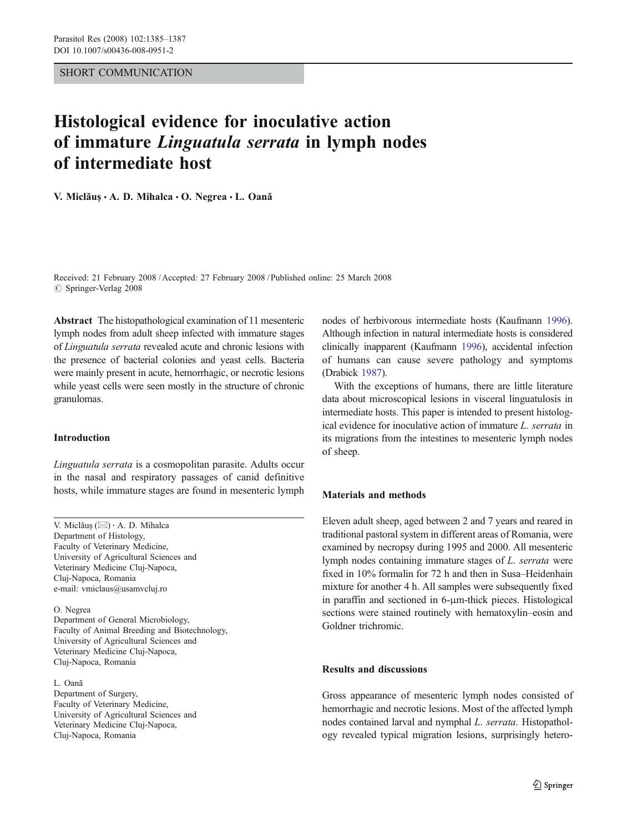## SHORT COMMUNICATION

# Histological evidence for inoculative action of immature Linguatula serrata in lymph nodes of intermediate host

V. Miclăus  $\cdot$  A. D. Mihalca  $\cdot$  O. Negrea  $\cdot$  L. Oană

Received: 21 February 2008 /Accepted: 27 February 2008 / Published online: 25 March 2008  $\oslash$  Springer-Verlag 2008

Abstract The histopathological examination of 11 mesenteric lymph nodes from adult sheep infected with immature stages of Linguatula serrata revealed acute and chronic lesions with the presence of bacterial colonies and yeast cells. Bacteria were mainly present in acute, hemorrhagic, or necrotic lesions while yeast cells were seen mostly in the structure of chronic granulomas.

### Introduction

Linguatula serrata is a cosmopolitan parasite. Adults occur in the nasal and respiratory passages of canid definitive hosts, while immature stages are found in mesenteric lymph

V. Miclău<sup>ş</sup> (*\**) *:* A. D. Mihalca Department of Histology, Faculty of Veterinary Medicine, University of Agricultural Sciences and Veterinary Medicine Cluj-Napoca, Cluj-Napoca, Romania e-mail: vmiclaus@usamvcluj.ro

O. Negrea Department of General Microbiology, Faculty of Animal Breeding and Biotechnology, University of Agricultural Sciences and Veterinary Medicine Cluj-Napoca, Cluj-Napoca, Romania

L. Oană Department of Surgery, Faculty of Veterinary Medicine, University of Agricultural Sciences and Veterinary Medicine Cluj-Napoca, Cluj-Napoca, Romania

nodes of herbivorous intermediate hosts (Kaufmann [1996\)](#page-2-0). Although infection in natural intermediate hosts is considered clinically inapparent (Kaufmann [1996\)](#page-2-0), accidental infection of humans can cause severe pathology and symptoms (Drabick [1987\)](#page-2-0).

With the exceptions of humans, there are little literature data about microscopical lesions in visceral linguatulosis in intermediate hosts. This paper is intended to present histological evidence for inoculative action of immature L. serrata in its migrations from the intestines to mesenteric lymph nodes of sheep.

# Materials and methods

Eleven adult sheep, aged between 2 and 7 years and reared in traditional pastoral system in different areas of Romania, were examined by necropsy during 1995 and 2000. All mesenteric lymph nodes containing immature stages of L. serrata were fixed in 10% formalin for 72 h and then in Susa–Heidenhain mixture for another 4 h. All samples were subsequently fixed in paraffin and sectioned in 6-μm-thick pieces. Histological sections were stained routinely with hematoxylin–eosin and Goldner trichromic.

## Results and discussions

Gross appearance of mesenteric lymph nodes consisted of hemorrhagic and necrotic lesions. Most of the affected lymph nodes contained larval and nymphal L. serrata. Histopathology revealed typical migration lesions, surprisingly hetero-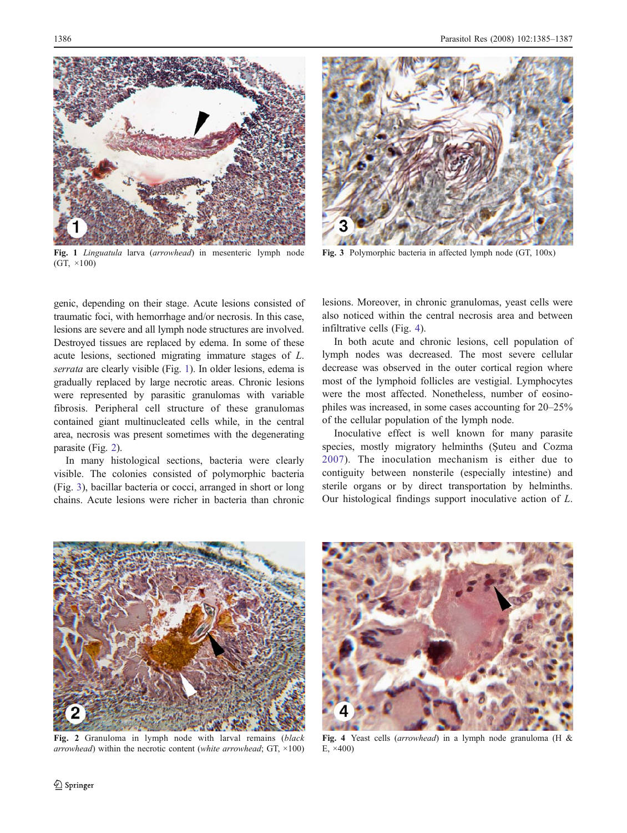

Fig. 1 Linguatula larva (arrowhead) in mesenteric lymph node (GT, ×100)



Fig. 3 Polymorphic bacteria in affected lymph node (GT, 100x)

genic, depending on their stage. Acute lesions consisted of traumatic foci, with hemorrhage and/or necrosis. In this case, lesions are severe and all lymph node structures are involved. Destroyed tissues are replaced by edema. In some of these acute lesions, sectioned migrating immature stages of L. serrata are clearly visible (Fig. 1). In older lesions, edema is gradually replaced by large necrotic areas. Chronic lesions were represented by parasitic granulomas with variable fibrosis. Peripheral cell structure of these granulomas contained giant multinucleated cells while, in the central area, necrosis was present sometimes with the degenerating parasite (Fig. 2).

In many histological sections, bacteria were clearly visible. The colonies consisted of polymorphic bacteria (Fig. 3), bacillar bacteria or cocci, arranged in short or long chains. Acute lesions were richer in bacteria than chronic lesions. Moreover, in chronic granulomas, yeast cells were also noticed within the central necrosis area and between infiltrative cells (Fig. 4).

In both acute and chronic lesions, cell population of lymph nodes was decreased. The most severe cellular decrease was observed in the outer cortical region where most of the lymphoid follicles are vestigial. Lymphocytes were the most affected. Nonetheless, number of eosinophiles was increased, in some cases accounting for 20–25% of the cellular population of the lymph node.

Inoculative effect is well known for many parasite species, mostly migratory helminths (Şuteu and Cozma [2007](#page-2-0)). The inoculation mechanism is either due to contiguity between nonsterile (especially intestine) and sterile organs or by direct transportation by helminths. Our histological findings support inoculative action of L.



Fig. 2 Granuloma in lymph node with larval remains (black arrowhead) within the necrotic content (white arrowhead;  $GT$ ,  $\times$ 100)



Fig. 4 Yeast cells (arrowhead) in a lymph node granuloma (H & E, ×400)